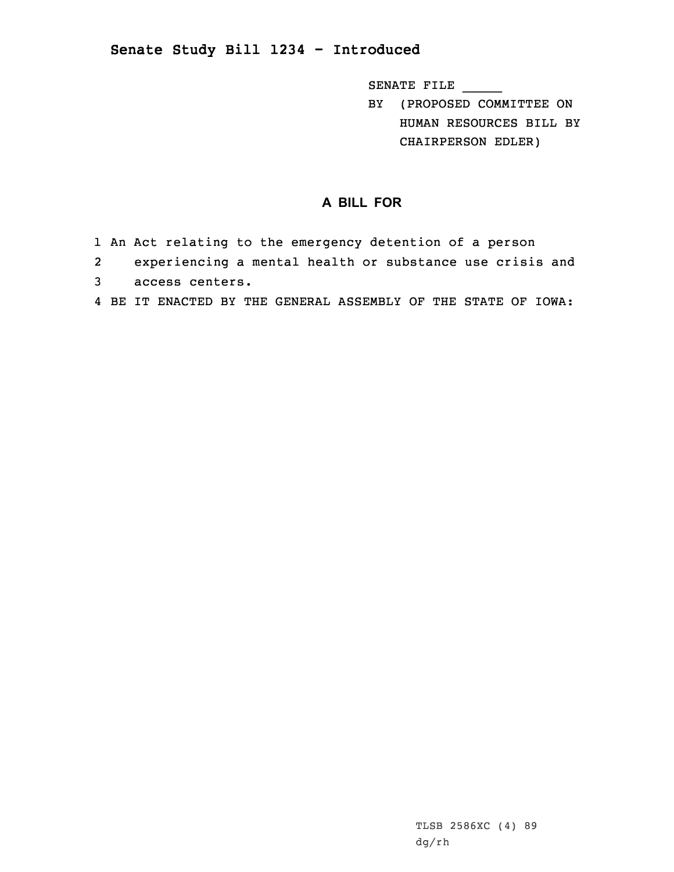## **Senate Study Bill 1234 - Introduced**

SENATE FILE \_\_\_\_\_

BY (PROPOSED COMMITTEE ON HUMAN RESOURCES BILL BY CHAIRPERSON EDLER)

## **A BILL FOR**

- 1 An Act relating to the emergency detention of <sup>a</sup> person
- 2 experiencing <sup>a</sup> mental health or substance use crisis and 3 access centers.
- 4 BE IT ENACTED BY THE GENERAL ASSEMBLY OF THE STATE OF IOWA: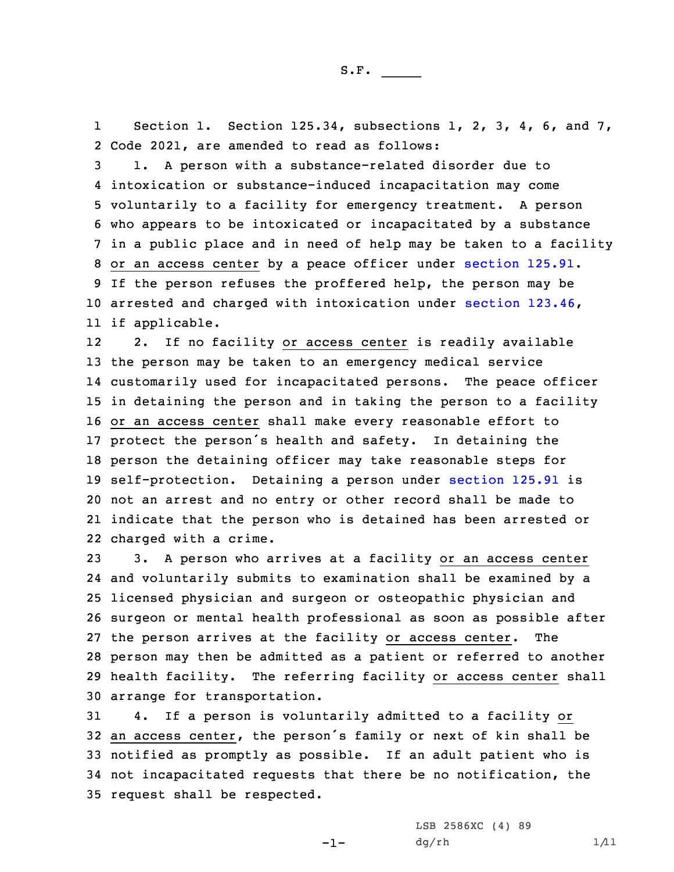1 Section 1. Section 125.34, subsections 1, 2, 3, 4, 6, and 7, 2 Code 2021, are amended to read as follows:

 1. <sup>A</sup> person with <sup>a</sup> substance-related disorder due to intoxication or substance-induced incapacitation may come voluntarily to <sup>a</sup> facility for emergency treatment. <sup>A</sup> person who appears to be intoxicated or incapacitated by <sup>a</sup> substance in <sup>a</sup> public place and in need of help may be taken to <sup>a</sup> facility or an access center by <sup>a</sup> peace officer under [section](https://www.legis.iowa.gov/docs/code/2021/125.91.pdf) 125.91. If the person refuses the proffered help, the person may be arrested and charged with intoxication under section [123.46](https://www.legis.iowa.gov/docs/code/2021/123.46.pdf), if applicable.

12 2. If no facility or access center is readily available the person may be taken to an emergency medical service customarily used for incapacitated persons. The peace officer in detaining the person and in taking the person to <sup>a</sup> facility or an access center shall make every reasonable effort to protect the person's health and safety. In detaining the person the detaining officer may take reasonable steps for self-protection. Detaining <sup>a</sup> person under [section](https://www.legis.iowa.gov/docs/code/2021/125.91.pdf) 125.91 is not an arrest and no entry or other record shall be made to indicate that the person who is detained has been arrested or charged with <sup>a</sup> crime.

 3. <sup>A</sup> person who arrives at <sup>a</sup> facility or an access center and voluntarily submits to examination shall be examined by <sup>a</sup> licensed physician and surgeon or osteopathic physician and surgeon or mental health professional as soon as possible after the person arrives at the facility or access center. The person may then be admitted as <sup>a</sup> patient or referred to another health facility. The referring facility or access center shall arrange for transportation.

 4. If <sup>a</sup> person is voluntarily admitted to <sup>a</sup> facility or an access center, the person's family or next of kin shall be notified as promptly as possible. If an adult patient who is not incapacitated requests that there be no notification, the request shall be respected.

 $-1-$ 

LSB 2586XC (4) 89  $dg(rh$  1/11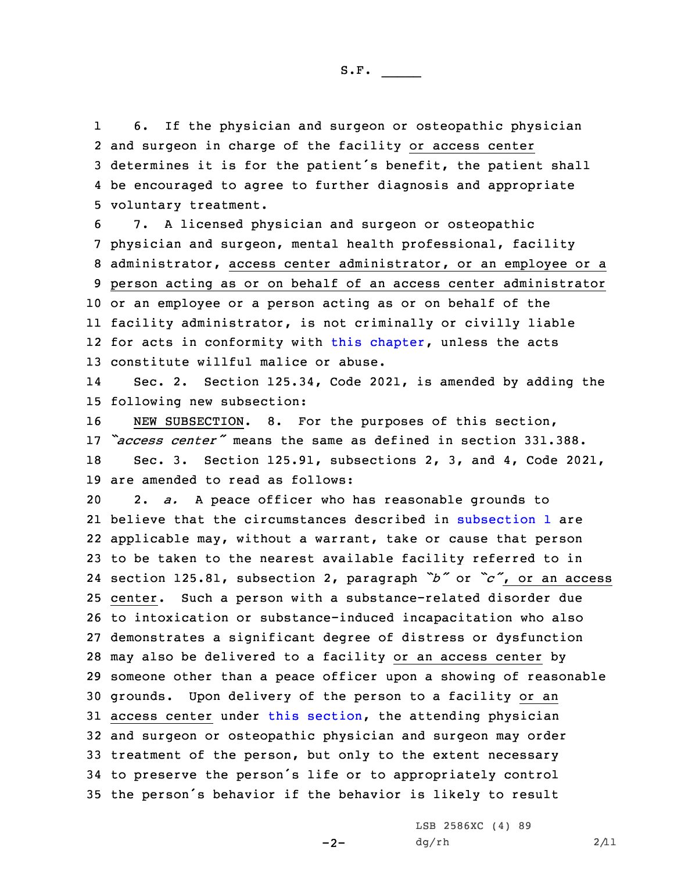1 6. If the physician and surgeon or osteopathic physician and surgeon in charge of the facility or access center determines it is for the patient's benefit, the patient shall be encouraged to agree to further diagnosis and appropriate voluntary treatment.

 7. <sup>A</sup> licensed physician and surgeon or osteopathic physician and surgeon, mental health professional, facility administrator, access center administrator, or an employee or <sup>a</sup> person acting as or on behalf of an access center administrator or an employee or <sup>a</sup> person acting as or on behalf of the facility administrator, is not criminally or civilly liable 12 for acts in conformity with this [chapter](https://www.legis.iowa.gov/docs/code/2021/125.pdf), unless the acts constitute willful malice or abuse.

14 Sec. 2. Section 125.34, Code 2021, is amended by adding the 15 following new subsection:

 NEW SUBSECTION. 8. For the purposes of this section, *"access center"* means the same as defined in section 331.388. Sec. 3. Section 125.91, subsections 2, 3, and 4, Code 2021, are amended to read as follows:

 2. *a.* <sup>A</sup> peace officer who has reasonable grounds to 21 believe that the circumstances described in [subsection](https://www.legis.iowa.gov/docs/code/2021/125.91.pdf) 1 are applicable may, without <sup>a</sup> warrant, take or cause that person to be taken to the nearest available facility referred to in section 125.81, subsection 2, paragraph *"b"* or *"c"*, or an access center. Such <sup>a</sup> person with <sup>a</sup> substance-related disorder due to intoxication or substance-induced incapacitation who also demonstrates <sup>a</sup> significant degree of distress or dysfunction may also be delivered to <sup>a</sup> facility or an access center by someone other than <sup>a</sup> peace officer upon <sup>a</sup> showing of reasonable grounds. Upon delivery of the person to <sup>a</sup> facility or an access center under this [section](https://www.legis.iowa.gov/docs/code/2021/125.91.pdf), the attending physician and surgeon or osteopathic physician and surgeon may order treatment of the person, but only to the extent necessary to preserve the person's life or to appropriately control the person's behavior if the behavior is likely to result

 $-2-$ 

LSB 2586XC (4) 89  $dg/rh$  2/11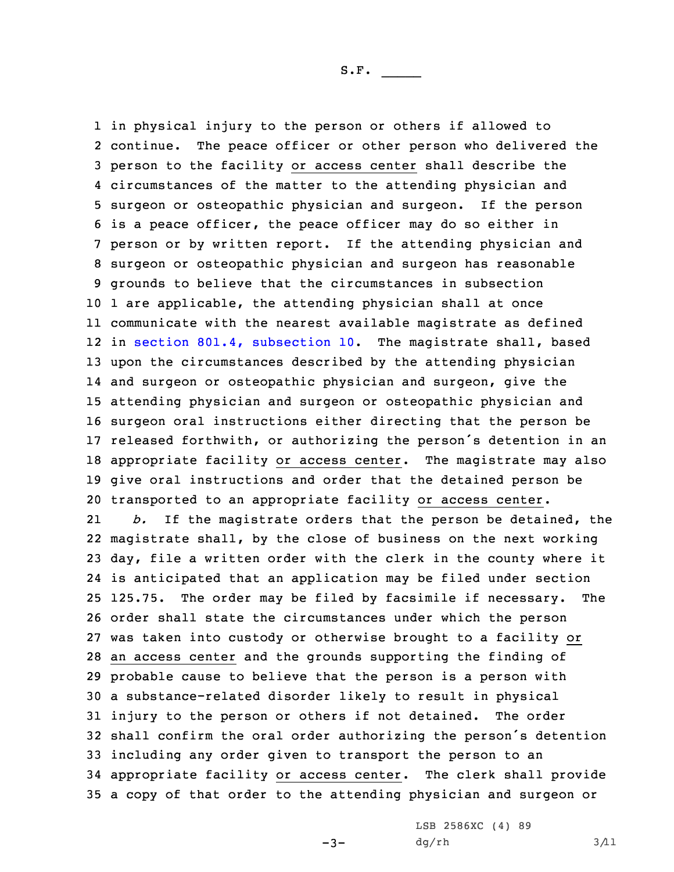in physical injury to the person or others if allowed to 2 continue. The peace officer or other person who delivered the person to the facility or access center shall describe the circumstances of the matter to the attending physician and surgeon or osteopathic physician and surgeon. If the person is <sup>a</sup> peace officer, the peace officer may do so either in person or by written report. If the attending physician and surgeon or osteopathic physician and surgeon has reasonable grounds to believe that the circumstances in subsection 1 are applicable, the attending physician shall at once communicate with the nearest available magistrate as defined in section 801.4, [subsection](https://www.legis.iowa.gov/docs/code/2021/801.4.pdf) 10. The magistrate shall, based upon the circumstances described by the attending physician and surgeon or osteopathic physician and surgeon, give the attending physician and surgeon or osteopathic physician and surgeon oral instructions either directing that the person be released forthwith, or authorizing the person's detention in an appropriate facility or access center. The magistrate may also give oral instructions and order that the detained person be transported to an appropriate facility or access center. 21 *b.* If the magistrate orders that the person be detained, the magistrate shall, by the close of business on the next working day, file <sup>a</sup> written order with the clerk in the county where it is anticipated that an application may be filed under section 125.75. The order may be filed by facsimile if necessary. The order shall state the circumstances under which the person was taken into custody or otherwise brought to <sup>a</sup> facility or an access center and the grounds supporting the finding of probable cause to believe that the person is <sup>a</sup> person with <sup>a</sup> substance-related disorder likely to result in physical

 injury to the person or others if not detained. The order shall confirm the oral order authorizing the person's detention including any order given to transport the person to an appropriate facility or access center. The clerk shall provide <sup>a</sup> copy of that order to the attending physician and surgeon or

 $-3-$ 

LSB 2586XC (4) 89  $dg(rh$  3/11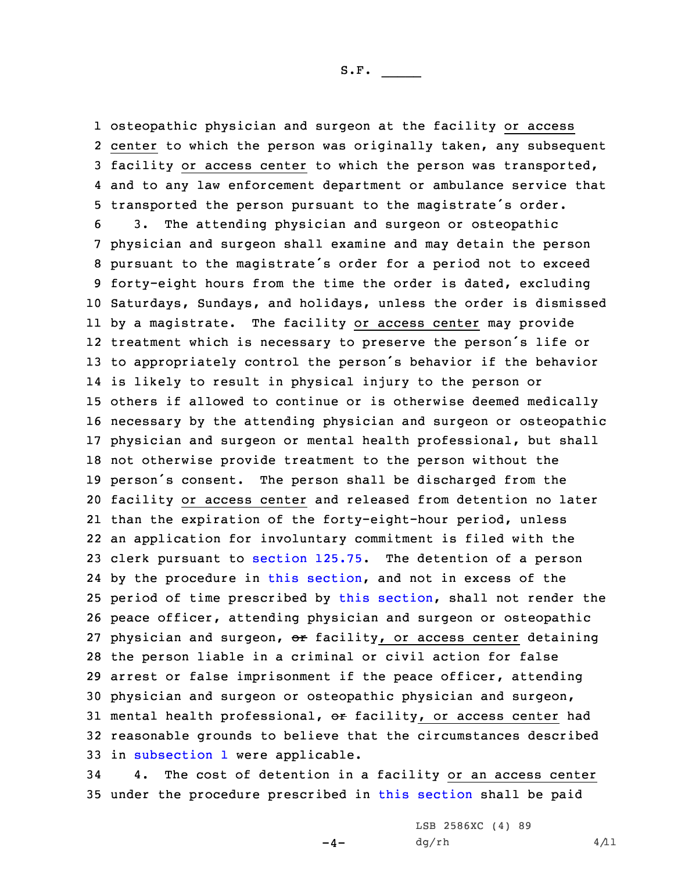S.F.  $\rule{1em}{0.15mm}$ 

 osteopathic physician and surgeon at the facility or access center to which the person was originally taken, any subsequent facility or access center to which the person was transported, and to any law enforcement department or ambulance service that transported the person pursuant to the magistrate's order. 3. The attending physician and surgeon or osteopathic physician and surgeon shall examine and may detain the person pursuant to the magistrate's order for <sup>a</sup> period not to exceed forty-eight hours from the time the order is dated, excluding

 Saturdays, Sundays, and holidays, unless the order is dismissed by <sup>a</sup> magistrate. The facility or access center may provide treatment which is necessary to preserve the person's life or to appropriately control the person's behavior if the behavior is likely to result in physical injury to the person or others if allowed to continue or is otherwise deemed medically necessary by the attending physician and surgeon or osteopathic physician and surgeon or mental health professional, but shall not otherwise provide treatment to the person without the person's consent. The person shall be discharged from the facility or access center and released from detention no later than the expiration of the forty-eight-hour period, unless an application for involuntary commitment is filed with the clerk pursuant to [section](https://www.legis.iowa.gov/docs/code/2021/125.75.pdf) 125.75. The detention of <sup>a</sup> person by the procedure in this [section](https://www.legis.iowa.gov/docs/code/2021/125.91.pdf), and not in excess of the 25 period of time prescribed by this [section](https://www.legis.iowa.gov/docs/code/2021/125.91.pdf), shall not render the peace officer, attending physician and surgeon or osteopathic 27 physician and surgeon, or facility, or access center detaining the person liable in <sup>a</sup> criminal or civil action for false arrest or false imprisonment if the peace officer, attending physician and surgeon or osteopathic physician and surgeon, 31 mental health professional, or facility, or access center had reasonable grounds to believe that the circumstances described in [subsection](https://www.legis.iowa.gov/docs/code/2021/125.91.pdf) 1 were applicable.

34 4. The cost of detention in <sup>a</sup> facility or an access center 35 under the procedure prescribed in this [section](https://www.legis.iowa.gov/docs/code/2021/125.91.pdf) shall be paid

 $-4-$ 

LSB 2586XC (4) 89  $dg/rh$  4/11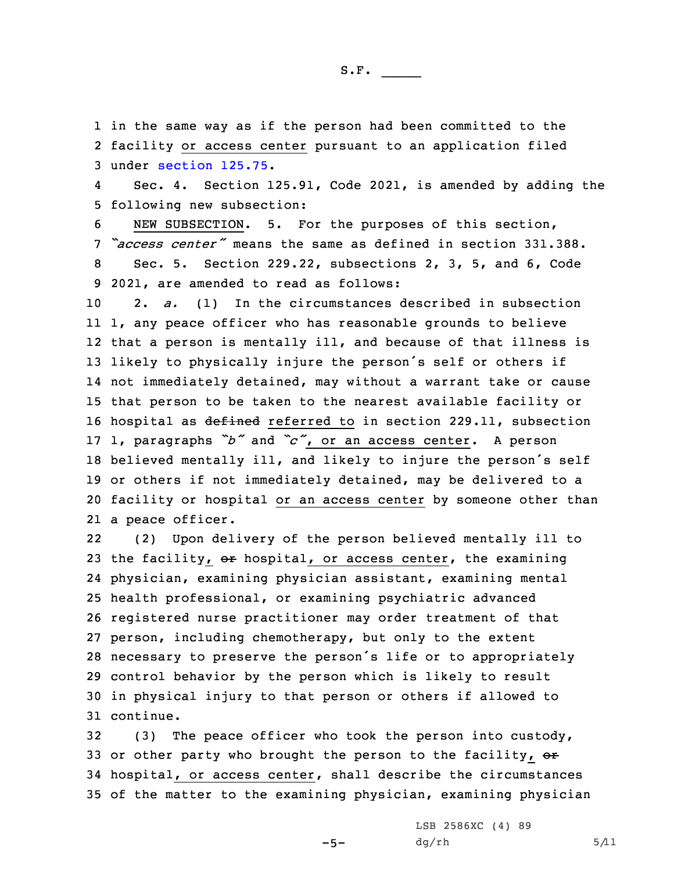1 in the same way as if the person had been committed to the 2 facility or access center pursuant to an application filed 3 under [section](https://www.legis.iowa.gov/docs/code/2021/125.75.pdf) 125.75.

4 Sec. 4. Section 125.91, Code 2021, is amended by adding the 5 following new subsection:

 NEW SUBSECTION. 5. For the purposes of this section, *"access center"* means the same as defined in section 331.388. Sec. 5. Section 229.22, subsections 2, 3, 5, and 6, Code 2021, are amended to read as follows:

 2. *a.* (1) In the circumstances described in subsection 1, any peace officer who has reasonable grounds to believe that <sup>a</sup> person is mentally ill, and because of that illness is likely to physically injure the person's self or others if not immediately detained, may without <sup>a</sup> warrant take or cause that person to be taken to the nearest available facility or 16 hospital as defined referred to in section 229.11, subsection 1, paragraphs *"b"* and *"c"*, or an access center. <sup>A</sup> person believed mentally ill, and likely to injure the person's self or others if not immediately detained, may be delivered to <sup>a</sup> facility or hospital or an access center by someone other than <sup>a</sup> peace officer.

22 (2) Upon delivery of the person believed mentally ill to 23 the facility,  $\sigma$ r hospital, or access center, the examining physician, examining physician assistant, examining mental health professional, or examining psychiatric advanced registered nurse practitioner may order treatment of that person, including chemotherapy, but only to the extent necessary to preserve the person's life or to appropriately control behavior by the person which is likely to result in physical injury to that person or others if allowed to continue.

 (3) The peace officer who took the person into custody, 33 or other party who brought the person to the facility,  $\sigma$  hospital, or access center, shall describe the circumstances of the matter to the examining physician, examining physician

 $-5-$ 

LSB 2586XC (4) 89  $dg(rh$  5/11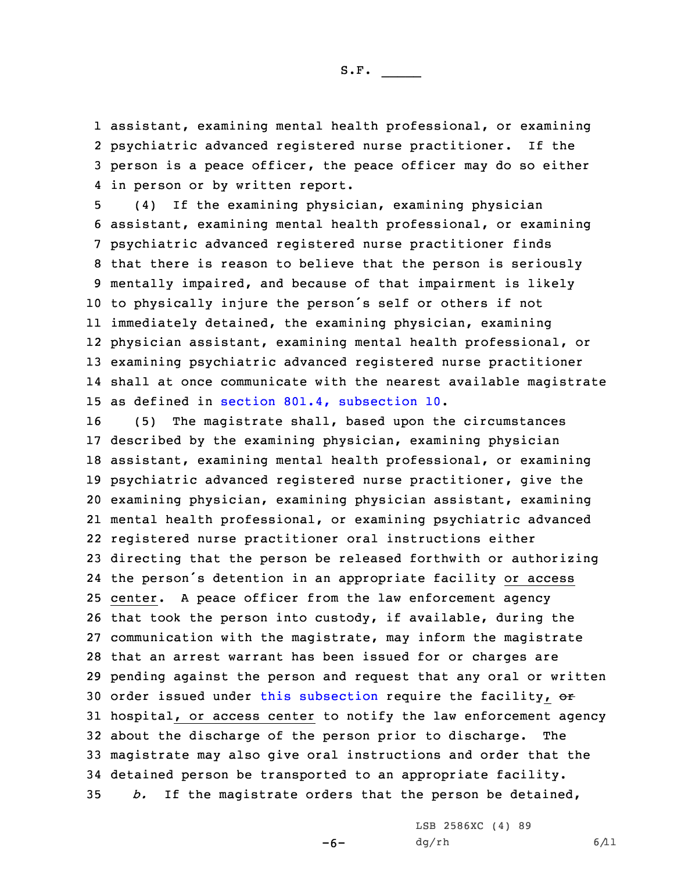assistant, examining mental health professional, or examining psychiatric advanced registered nurse practitioner. If the person is <sup>a</sup> peace officer, the peace officer may do so either in person or by written report.

 (4) If the examining physician, examining physician assistant, examining mental health professional, or examining psychiatric advanced registered nurse practitioner finds that there is reason to believe that the person is seriously mentally impaired, and because of that impairment is likely to physically injure the person's self or others if not immediately detained, the examining physician, examining physician assistant, examining mental health professional, or examining psychiatric advanced registered nurse practitioner shall at once communicate with the nearest available magistrate as defined in section 801.4, [subsection](https://www.legis.iowa.gov/docs/code/2021/801.4.pdf) 10.

 (5) The magistrate shall, based upon the circumstances described by the examining physician, examining physician assistant, examining mental health professional, or examining psychiatric advanced registered nurse practitioner, give the examining physician, examining physician assistant, examining mental health professional, or examining psychiatric advanced registered nurse practitioner oral instructions either directing that the person be released forthwith or authorizing the person's detention in an appropriate facility or access center. <sup>A</sup> peace officer from the law enforcement agency that took the person into custody, if available, during the communication with the magistrate, may inform the magistrate that an arrest warrant has been issued for or charges are pending against the person and request that any oral or written 30 order issued under this [subsection](https://www.legis.iowa.gov/docs/code/2021/229.22.pdf) require the facility, or hospital, or access center to notify the law enforcement agency about the discharge of the person prior to discharge. The magistrate may also give oral instructions and order that the detained person be transported to an appropriate facility. *b.* If the magistrate orders that the person be detained,

-6-

LSB 2586XC (4) 89  $dg/rh$  6/11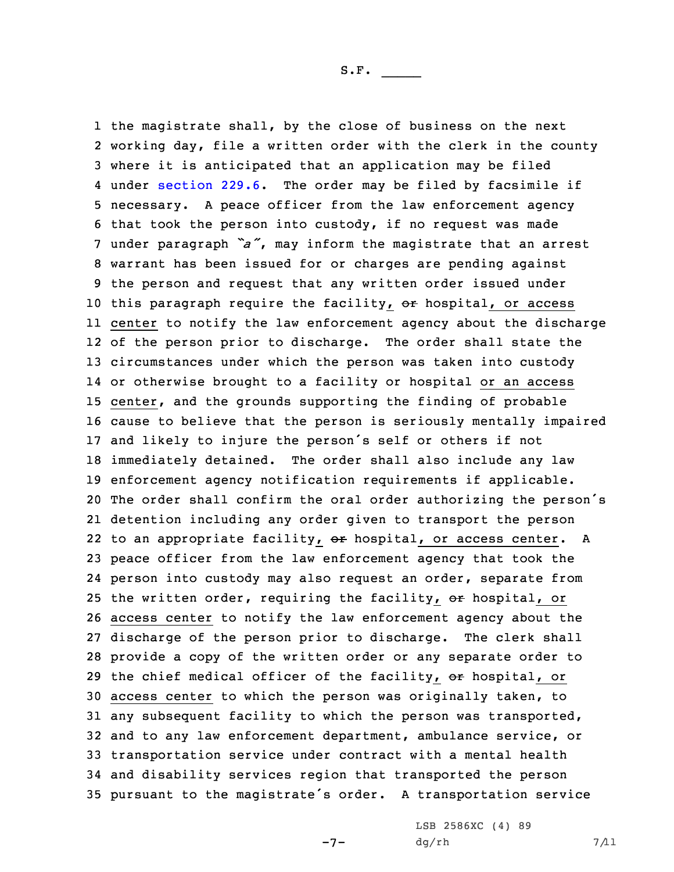the magistrate shall, by the close of business on the next working day, file <sup>a</sup> written order with the clerk in the county where it is anticipated that an application may be filed under [section](https://www.legis.iowa.gov/docs/code/2021/229.6.pdf) 229.6. The order may be filed by facsimile if necessary. <sup>A</sup> peace officer from the law enforcement agency that took the person into custody, if no request was made under paragraph *"a"*, may inform the magistrate that an arrest warrant has been issued for or charges are pending against the person and request that any written order issued under 10 this paragraph require the facility, or hospital, or access center to notify the law enforcement agency about the discharge of the person prior to discharge. The order shall state the circumstances under which the person was taken into custody or otherwise brought to <sup>a</sup> facility or hospital or an access center, and the grounds supporting the finding of probable cause to believe that the person is seriously mentally impaired and likely to injure the person's self or others if not immediately detained. The order shall also include any law enforcement agency notification requirements if applicable. The order shall confirm the oral order authorizing the person's detention including any order given to transport the person 22 to an appropriate facility, or hospital, or access center. A peace officer from the law enforcement agency that took the person into custody may also request an order, separate from 25 the written order, requiring the facility,  $\Theta$ r hospital, or access center to notify the law enforcement agency about the discharge of the person prior to discharge. The clerk shall provide <sup>a</sup> copy of the written order or any separate order to 29 the chief medical officer of the facility,  $\Theta$ r hospital, or access center to which the person was originally taken, to any subsequent facility to which the person was transported, and to any law enforcement department, ambulance service, or transportation service under contract with <sup>a</sup> mental health and disability services region that transported the person pursuant to the magistrate's order. <sup>A</sup> transportation service

-7-

LSB 2586XC (4) 89  $dg(rh$  7/11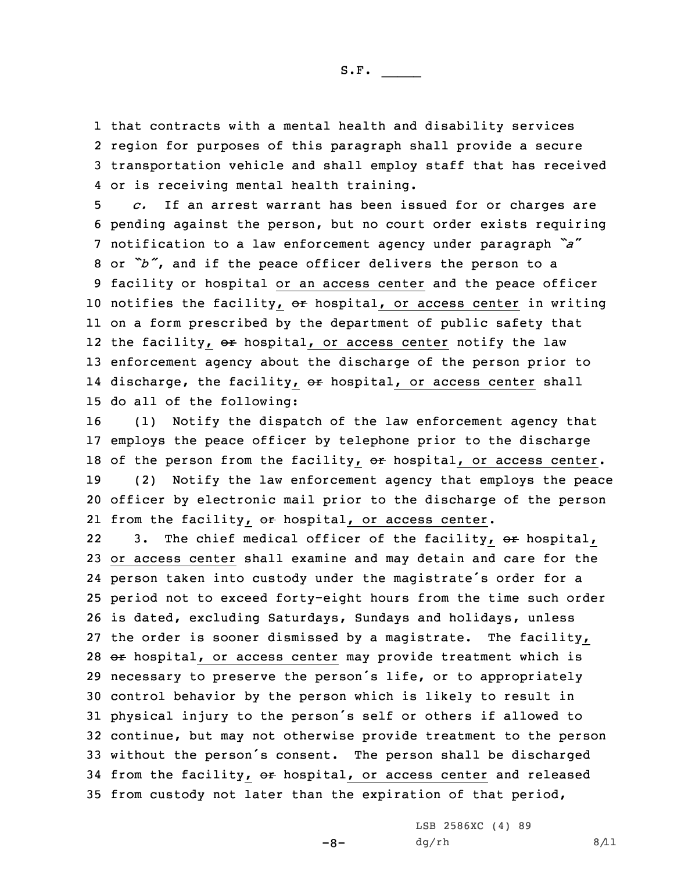S.F.  $\rule{1em}{0.15mm}$ 

 that contracts with <sup>a</sup> mental health and disability services region for purposes of this paragraph shall provide <sup>a</sup> secure transportation vehicle and shall employ staff that has received or is receiving mental health training.

 *c.* If an arrest warrant has been issued for or charges are pending against the person, but no court order exists requiring notification to <sup>a</sup> law enforcement agency under paragraph *"a*" or *"b"*, and if the peace officer delivers the person to <sup>a</sup> facility or hospital or an access center and the peace officer 10 notifies the facility, or hospital, or access center in writing on <sup>a</sup> form prescribed by the department of public safety that 12 the facility, <del>or</del> hospital, or access center notify the law enforcement agency about the discharge of the person prior to 14 discharge, the facility, <del>or</del> hospital, or access center shall do all of the following:

 (1) Notify the dispatch of the law enforcement agency that employs the peace officer by telephone prior to the discharge 18 of the person from the facility, or hospital, or access center. (2) Notify the law enforcement agency that employs the peace officer by electronic mail prior to the discharge of the person 21 from the facility,  $\Theta$  hospital, or access center.

223. The chief medical officer of the facility, or hospital, or access center shall examine and may detain and care for the person taken into custody under the magistrate's order for <sup>a</sup> period not to exceed forty-eight hours from the time such order is dated, excluding Saturdays, Sundays and holidays, unless the order is sooner dismissed by <sup>a</sup> magistrate. The facility, 28 or hospital, or access center may provide treatment which is necessary to preserve the person's life, or to appropriately control behavior by the person which is likely to result in physical injury to the person's self or others if allowed to continue, but may not otherwise provide treatment to the person without the person's consent. The person shall be discharged 34 from the facility, or hospital, or access center and released from custody not later than the expiration of that period,

 $-8-$ 

LSB 2586XC (4) 89  $dg/rh$  8/11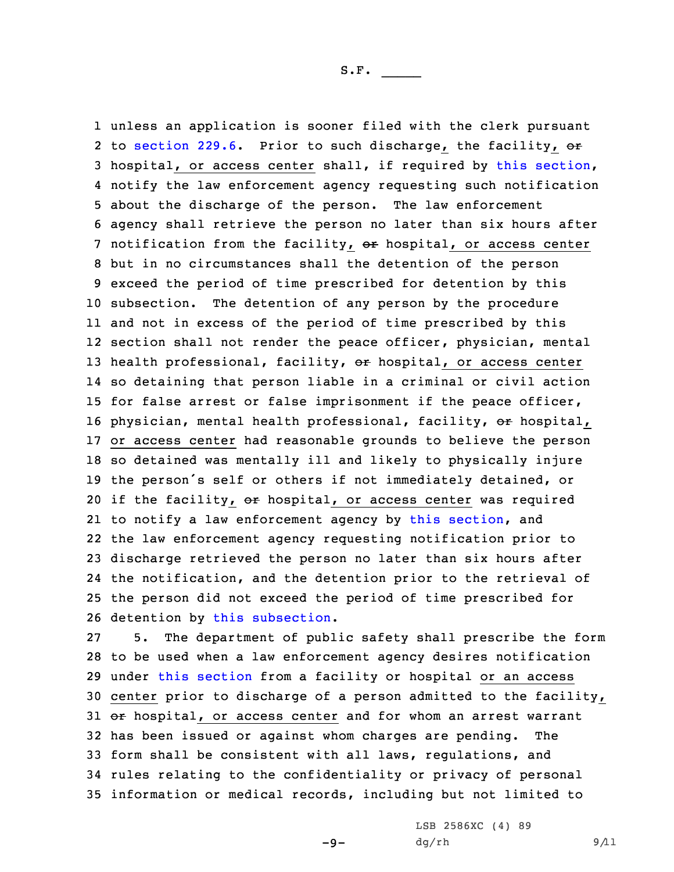unless an application is sooner filed with the clerk pursuant 2 to [section](https://www.legis.iowa.gov/docs/code/2021/229.6.pdf) 229.6. Prior to such discharge, the facility, or hospital, or access center shall, if required by this [section](https://www.legis.iowa.gov/docs/code/2021/229.22.pdf), notify the law enforcement agency requesting such notification about the discharge of the person. The law enforcement agency shall retrieve the person no later than six hours after 7 notification from the facility, or hospital, or access center but in no circumstances shall the detention of the person exceed the period of time prescribed for detention by this subsection. The detention of any person by the procedure and not in excess of the period of time prescribed by this section shall not render the peace officer, physician, mental 13 health professional, facility, or hospital, or access center so detaining that person liable in <sup>a</sup> criminal or civil action for false arrest or false imprisonment if the peace officer, 16 physician, mental health professional, facility, or hospital, or access center had reasonable grounds to believe the person so detained was mentally ill and likely to physically injure the person's self or others if not immediately detained, or 20 if the facility, or hospital, or access center was required to notify <sup>a</sup> law enforcement agency by this [section](https://www.legis.iowa.gov/docs/code/2021/229.22.pdf), and the law enforcement agency requesting notification prior to discharge retrieved the person no later than six hours after the notification, and the detention prior to the retrieval of the person did not exceed the period of time prescribed for detention by this [subsection](https://www.legis.iowa.gov/docs/code/2021/229.22.pdf).

 5. The department of public safety shall prescribe the form to be used when <sup>a</sup> law enforcement agency desires notification under this [section](https://www.legis.iowa.gov/docs/code/2021/229.22.pdf) from <sup>a</sup> facility or hospital or an access center prior to discharge of <sup>a</sup> person admitted to the facility, 31 or hospital, or access center and for whom an arrest warrant has been issued or against whom charges are pending. The form shall be consistent with all laws, regulations, and rules relating to the confidentiality or privacy of personal information or medical records, including but not limited to

 $-9-$ 

LSB 2586XC (4) 89  $dg(rh$  9/11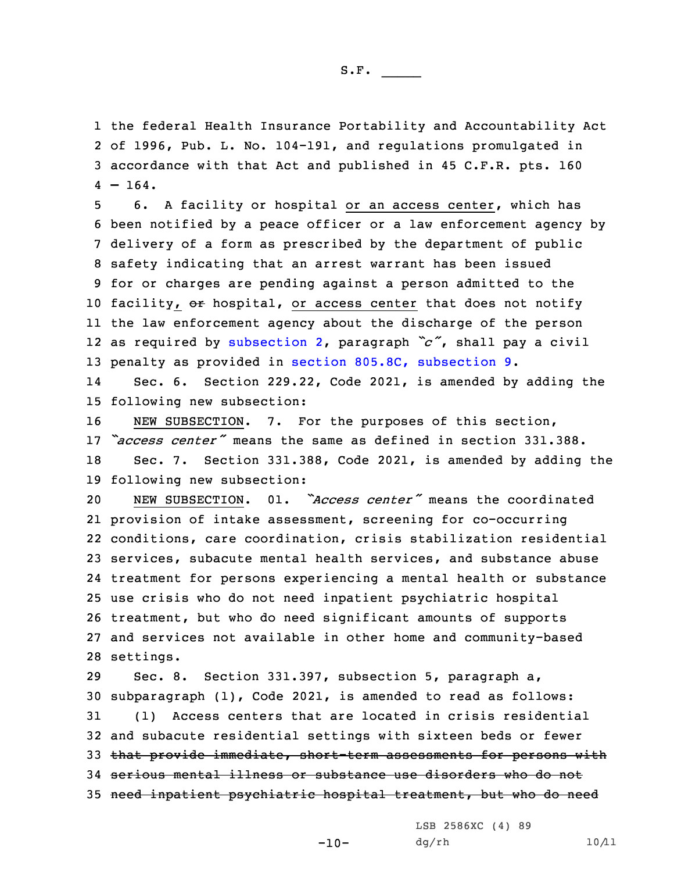the federal Health Insurance Portability and Accountability Act of 1996, Pub. L. No. 104-191, and regulations promulgated in accordance with that Act and published in 45 C.F.R. pts. 160  $4 - 164.$ 

 6. <sup>A</sup> facility or hospital or an access center, which has been notified by <sup>a</sup> peace officer or <sup>a</sup> law enforcement agency by delivery of <sup>a</sup> form as prescribed by the department of public safety indicating that an arrest warrant has been issued for or charges are pending against <sup>a</sup> person admitted to the 10 facility, or hospital, or access center that does not notify the law enforcement agency about the discharge of the person as required by [subsection](https://www.legis.iowa.gov/docs/code/2021/229.22.pdf) 2, paragraph *"c"*, shall pay <sup>a</sup> civil penalty as provided in section 805.8C, [subsection](https://www.legis.iowa.gov/docs/code/2021/805.8C.pdf) 9.

14 Sec. 6. Section 229.22, Code 2021, is amended by adding the 15 following new subsection:

 NEW SUBSECTION. 7. For the purposes of this section, *"access center"* means the same as defined in section 331.388. Sec. 7. Section 331.388, Code 2021, is amended by adding the following new subsection:

 NEW SUBSECTION. 01. *"Access center"* means the coordinated provision of intake assessment, screening for co-occurring conditions, care coordination, crisis stabilization residential services, subacute mental health services, and substance abuse treatment for persons experiencing <sup>a</sup> mental health or substance use crisis who do not need inpatient psychiatric hospital treatment, but who do need significant amounts of supports and services not available in other home and community-based settings.

 Sec. 8. Section 331.397, subsection 5, paragraph a, subparagraph (1), Code 2021, is amended to read as follows: (1) Access centers that are located in crisis residential and subacute residential settings with sixteen beds or fewer that provide immediate, short-term assessments for persons with serious mental illness or substance use disorders who do not need inpatient psychiatric hospital treatment, but who do need

 $-10-$ 

LSB 2586XC (4) 89  $dg/rh$  10/11